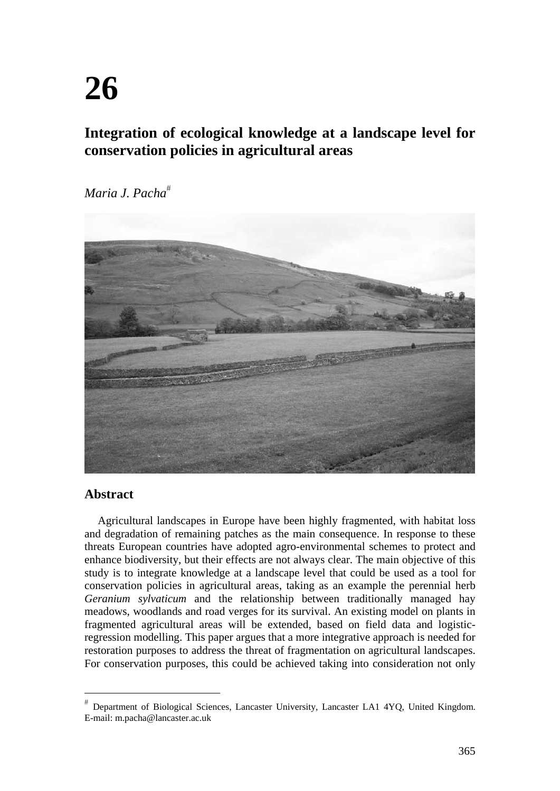# **Integration of ecological knowledge at a landscape level for conservation policies in agricultural areas**

*Maria J. Pacha*



# **Abstract**

 $\overline{a}$ 

Agricultural landscapes in Europe have been highly fragmented, with habitat loss and degradation of remaining patches as the main consequence. In response to these threats European countries have adopted agro-environmental schemes to protect and enhance biodiversity, but their effects are not always clear. The main objective of this study is to integrate knowledge at a landscape level that could be used as a tool for conservation policies in agricultural areas, taking as an example the perennial herb *Geranium sylvaticum* and the relationship between traditionally managed hay meadows, woodlands and road verges for its survival. An existing model on plants in fragmented agricultural areas will be extended, based on field data and logisticregression modelling. This paper argues that a more integrative approach is needed for restoration purposes to address the threat of fragmentation on agricultural landscapes. For conservation purposes, this could be achieved taking into consideration not only

Department of Biological Sciences, Lancaster University, Lancaster LA1 4YQ, United Kingdom. E-mail: m.pacha@lancaster.ac.uk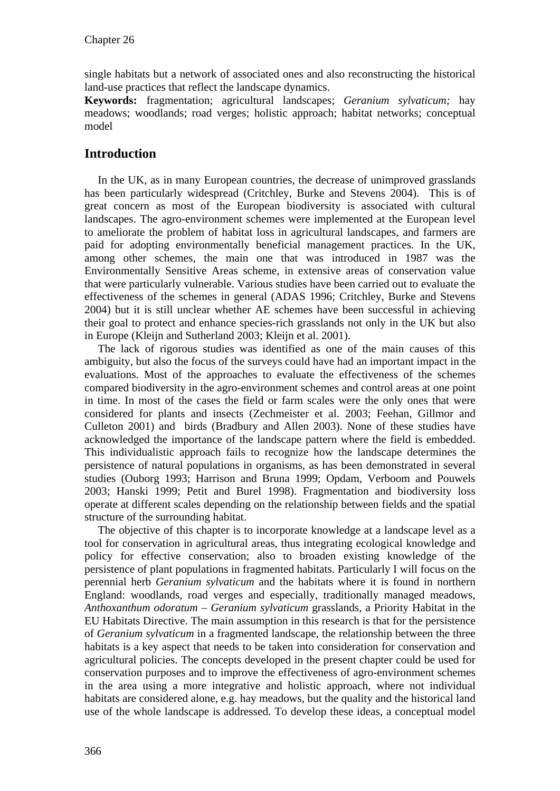single habitats but a network of associated ones and also reconstructing the historical land-use practices that reflect the landscape dynamics.

**Keywords:** fragmentation; agricultural landscapes; *Geranium sylvaticum;* hay meadows; woodlands; road verges; holistic approach; habitat networks; conceptual model

# **Introduction**

In the UK, as in many European countries, the decrease of unimproved grasslands has been particularly widespread (Critchley, Burke and Stevens 2004). This is of great concern as most of the European biodiversity is associated with cultural landscapes. The agro-environment schemes were implemented at the European level to ameliorate the problem of habitat loss in agricultural landscapes, and farmers are paid for adopting environmentally beneficial management practices. In the UK, among other schemes, the main one that was introduced in 1987 was the Environmentally Sensitive Areas scheme, in extensive areas of conservation value that were particularly vulnerable. Various studies have been carried out to evaluate the effectiveness of the schemes in general (ADAS 1996; Critchley, Burke and Stevens 2004) but it is still unclear whether AE schemes have been successful in achieving their goal to protect and enhance species-rich grasslands not only in the UK but also in Europe (Kleijn and Sutherland 2003; Kleijn et al. 2001).

The lack of rigorous studies was identified as one of the main causes of this ambiguity, but also the focus of the surveys could have had an important impact in the evaluations. Most of the approaches to evaluate the effectiveness of the schemes compared biodiversity in the agro-environment schemes and control areas at one point in time. In most of the cases the field or farm scales were the only ones that were considered for plants and insects (Zechmeister et al. 2003; Feehan, Gillmor and Culleton 2001) and birds (Bradbury and Allen 2003). None of these studies have acknowledged the importance of the landscape pattern where the field is embedded. This individualistic approach fails to recognize how the landscape determines the persistence of natural populations in organisms, as has been demonstrated in several studies (Ouborg 1993; Harrison and Bruna 1999; Opdam, Verboom and Pouwels 2003; Hanski 1999; Petit and Burel 1998). Fragmentation and biodiversity loss operate at different scales depending on the relationship between fields and the spatial structure of the surrounding habitat.

The objective of this chapter is to incorporate knowledge at a landscape level as a tool for conservation in agricultural areas, thus integrating ecological knowledge and policy for effective conservation; also to broaden existing knowledge of the persistence of plant populations in fragmented habitats. Particularly I will focus on the perennial herb *Geranium sylvaticum* and the habitats where it is found in northern England: woodlands, road verges and especially, traditionally managed meadows, *Anthoxanthum odoratum* – *Geranium sylvaticum* grasslands, a Priority Habitat in the EU Habitats Directive. The main assumption in this research is that for the persistence of *Geranium sylvaticum* in a fragmented landscape, the relationship between the three habitats is a key aspect that needs to be taken into consideration for conservation and agricultural policies. The concepts developed in the present chapter could be used for conservation purposes and to improve the effectiveness of agro-environment schemes in the area using a more integrative and holistic approach, where not individual habitats are considered alone, e.g. hay meadows, but the quality and the historical land use of the whole landscape is addressed. To develop these ideas, a conceptual model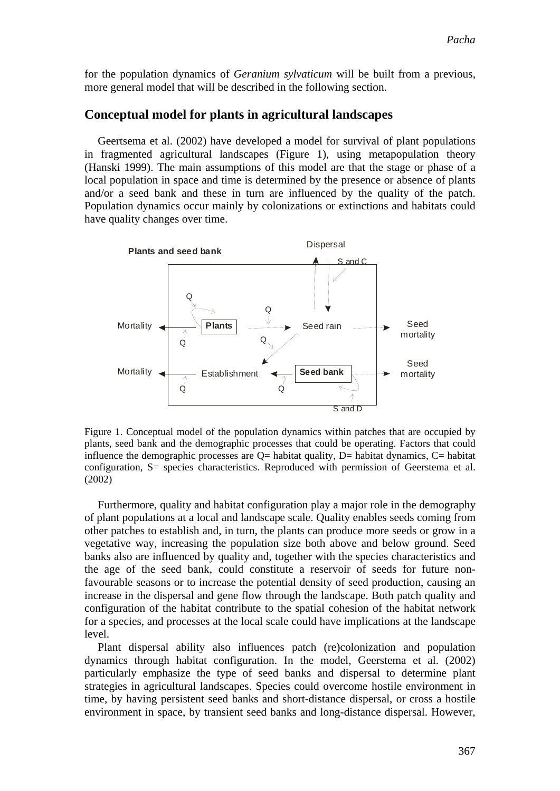for the population dynamics of *Geranium sylvaticum* will be built from a previous, more general model that will be described in the following section.

#### **Conceptual model for plants in agricultural landscapes**

Geertsema et al. (2002) have developed a model for survival of plant populations in fragmented agricultural landscapes (Figure 1), using metapopulation theory (Hanski 1999). The main assumptions of this model are that the stage or phase of a local population in space and time is determined by the presence or absence of plants and/or a seed bank and these in turn are influenced by the quality of the patch. Population dynamics occur mainly by colonizations or extinctions and habitats could have quality changes over time.



Figure 1. Conceptual model of the population dynamics within patches that are occupied by plants, seed bank and the demographic processes that could be operating. Factors that could influence the demographic processes are  $Q=$  habitat quality,  $D=$  habitat dynamics,  $C=$  habitat configuration, S= species characteristics. Reproduced with permission of Geerstema et al. (2002)

Furthermore, quality and habitat configuration play a major role in the demography of plant populations at a local and landscape scale. Quality enables seeds coming from other patches to establish and, in turn, the plants can produce more seeds or grow in a vegetative way, increasing the population size both above and below ground. Seed banks also are influenced by quality and, together with the species characteristics and the age of the seed bank, could constitute a reservoir of seeds for future nonfavourable seasons or to increase the potential density of seed production, causing an increase in the dispersal and gene flow through the landscape. Both patch quality and configuration of the habitat contribute to the spatial cohesion of the habitat network for a species, and processes at the local scale could have implications at the landscape level.

Plant dispersal ability also influences patch (re)colonization and population dynamics through habitat configuration. In the model, Geerstema et al. (2002) particularly emphasize the type of seed banks and dispersal to determine plant strategies in agricultural landscapes. Species could overcome hostile environment in time, by having persistent seed banks and short-distance dispersal, or cross a hostile environment in space, by transient seed banks and long-distance dispersal. However,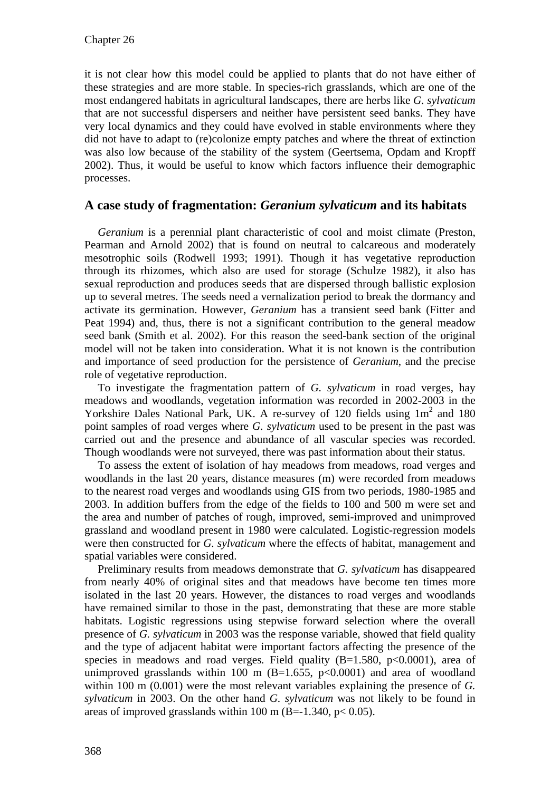it is not clear how this model could be applied to plants that do not have either of these strategies and are more stable. In species-rich grasslands, which are one of the most endangered habitats in agricultural landscapes, there are herbs like *G. sylvaticum*  that are not successful dispersers and neither have persistent seed banks. They have very local dynamics and they could have evolved in stable environments where they did not have to adapt to (re)colonize empty patches and where the threat of extinction was also low because of the stability of the system (Geertsema, Opdam and Kropff 2002). Thus, it would be useful to know which factors influence their demographic processes.

## **A case study of fragmentation:** *Geranium sylvaticum* **and its habitats**

*Geranium* is a perennial plant characteristic of cool and moist climate (Preston, Pearman and Arnold 2002) that is found on neutral to calcareous and moderately mesotrophic soils (Rodwell 1993; 1991). Though it has vegetative reproduction through its rhizomes, which also are used for storage (Schulze 1982), it also has sexual reproduction and produces seeds that are dispersed through ballistic explosion up to several metres. The seeds need a vernalization period to break the dormancy and activate its germination. However, *Geranium* has a transient seed bank (Fitter and Peat 1994) and, thus, there is not a significant contribution to the general meadow seed bank (Smith et al. 2002). For this reason the seed-bank section of the original model will not be taken into consideration. What it is not known is the contribution and importance of seed production for the persistence of *Geranium*, and the precise role of vegetative reproduction.

To investigate the fragmentation pattern of *G. sylvaticum* in road verges, hay meadows and woodlands, vegetation information was recorded in 2002-2003 in the Yorkshire Dales National Park, UK. A re-survey of 120 fields using  $1m^2$  and 180 point samples of road verges where *G. sylvaticum* used to be present in the past was carried out and the presence and abundance of all vascular species was recorded. Though woodlands were not surveyed, there was past information about their status.

To assess the extent of isolation of hay meadows from meadows, road verges and woodlands in the last 20 years, distance measures (m) were recorded from meadows to the nearest road verges and woodlands using GIS from two periods, 1980-1985 and 2003. In addition buffers from the edge of the fields to 100 and 500 m were set and the area and number of patches of rough, improved, semi-improved and unimproved grassland and woodland present in 1980 were calculated. Logistic-regression models were then constructed for *G. sylvaticum* where the effects of habitat, management and spatial variables were considered.

Preliminary results from meadows demonstrate that *G. sylvaticum* has disappeared from nearly 40% of original sites and that meadows have become ten times more isolated in the last 20 years. However, the distances to road verges and woodlands have remained similar to those in the past, demonstrating that these are more stable habitats. Logistic regressions using stepwise forward selection where the overall presence of *G. sylvaticum* in 2003 was the response variable, showed that field quality and the type of adjacent habitat were important factors affecting the presence of the species in meadows and road verges. Field quality  $(B=1.580, p<0.0001)$ , area of unimproved grasslands within 100 m  $(B=1.655, p<0.0001)$  and area of woodland within 100 m (0.001) were the most relevant variables explaining the presence of *G. sylvaticum* in 2003. On the other hand *G. sylvaticum* was not likely to be found in areas of improved grasslands within 100 m (B=-1.340,  $p < 0.05$ ).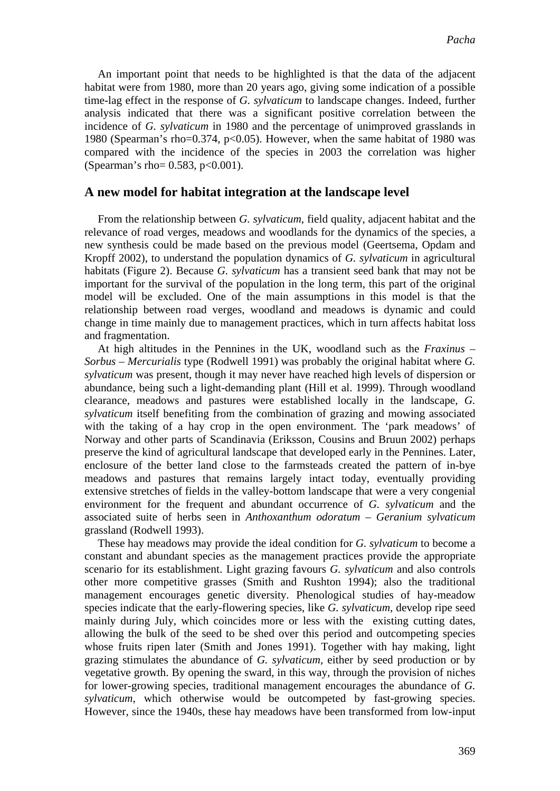An important point that needs to be highlighted is that the data of the adjacent habitat were from 1980, more than 20 years ago, giving some indication of a possible time-lag effect in the response of *G. sylvaticum* to landscape changes. Indeed, further analysis indicated that there was a significant positive correlation between the incidence of *G. sylvaticum* in 1980 and the percentage of unimproved grasslands in 1980 (Spearman's rho=0.374, p<0.05). However, when the same habitat of 1980 was compared with the incidence of the species in 2003 the correlation was higher (Spearman's rho= 0.583, p<0.001).

#### **A new model for habitat integration at the landscape level**

From the relationship between *G. sylvaticum*, field quality, adjacent habitat and the relevance of road verges, meadows and woodlands for the dynamics of the species, a new synthesis could be made based on the previous model (Geertsema, Opdam and Kropff 2002), to understand the population dynamics of *G. sylvaticum* in agricultural habitats (Figure 2). Because *G. sylvaticum* has a transient seed bank that may not be important for the survival of the population in the long term, this part of the original model will be excluded. One of the main assumptions in this model is that the relationship between road verges, woodland and meadows is dynamic and could change in time mainly due to management practices, which in turn affects habitat loss and fragmentation.

At high altitudes in the Pennines in the UK, woodland such as the *Fraxinus* – *Sorbus* – *Mercurialis* type (Rodwell 1991) was probably the original habitat where *G. sylvaticum* was present, though it may never have reached high levels of dispersion or abundance, being such a light-demanding plant (Hill et al. 1999). Through woodland clearance, meadows and pastures were established locally in the landscape, *G. sylvaticum* itself benefiting from the combination of grazing and mowing associated with the taking of a hay crop in the open environment. The 'park meadows' of Norway and other parts of Scandinavia (Eriksson, Cousins and Bruun 2002) perhaps preserve the kind of agricultural landscape that developed early in the Pennines. Later, enclosure of the better land close to the farmsteads created the pattern of in-bye meadows and pastures that remains largely intact today, eventually providing extensive stretches of fields in the valley-bottom landscape that were a very congenial environment for the frequent and abundant occurrence of *G. sylvaticum* and the associated suite of herbs seen in *Anthoxanthum odoratum* – *Geranium sylvaticum*  grassland (Rodwell 1993).

These hay meadows may provide the ideal condition for *G. sylvaticum* to become a constant and abundant species as the management practices provide the appropriate scenario for its establishment. Light grazing favours *G. sylvaticum* and also controls other more competitive grasses (Smith and Rushton 1994); also the traditional management encourages genetic diversity. Phenological studies of hay-meadow species indicate that the early-flowering species, like *G. sylvaticum,* develop ripe seed mainly during July, which coincides more or less with the existing cutting dates, allowing the bulk of the seed to be shed over this period and outcompeting species whose fruits ripen later (Smith and Jones 1991). Together with hay making, light grazing stimulates the abundance of *G. sylvaticum,* either by seed production or by vegetative growth. By opening the sward, in this way, through the provision of niches for lower-growing species, traditional management encourages the abundance of *G. sylvaticum*, which otherwise would be outcompeted by fast-growing species. However, since the 1940s, these hay meadows have been transformed from low-input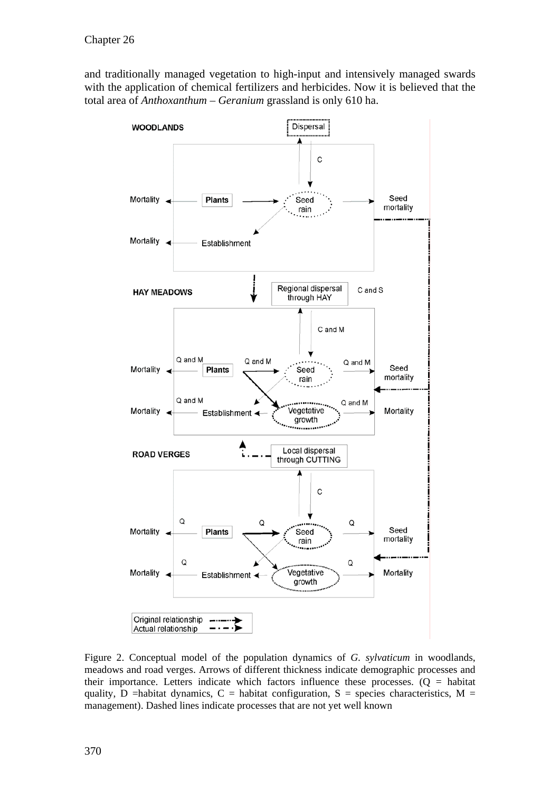and traditionally managed vegetation to high-input and intensively managed swards with the application of chemical fertilizers and herbicides. Now it is believed that the total area of *Anthoxanthum* – *Geranium* grassland is only 610 ha.



Figure 2. Conceptual model of the population dynamics of *G. sylvaticum* in woodlands, meadows and road verges. Arrows of different thickness indicate demographic processes and their importance. Letters indicate which factors influence these processes.  $(Q =$  habitat quality, D =habitat dynamics, C = habitat configuration, S = species characteristics, M = management). Dashed lines indicate processes that are not yet well known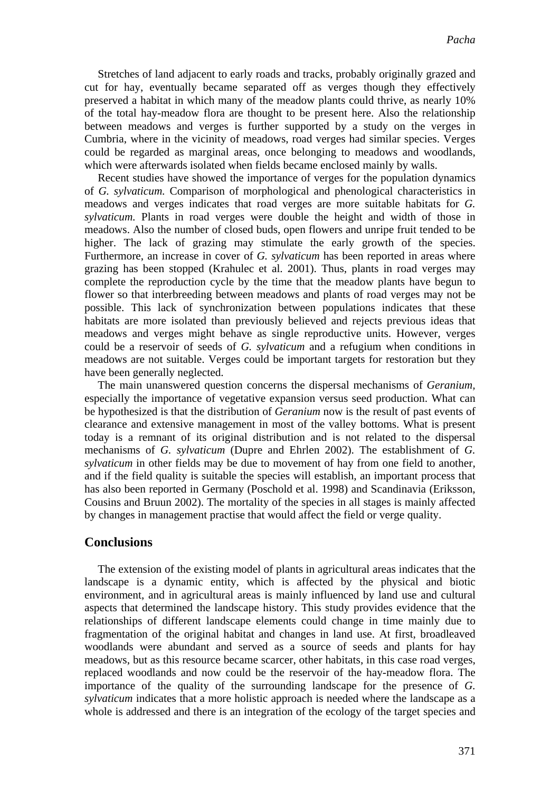Stretches of land adjacent to early roads and tracks, probably originally grazed and cut for hay, eventually became separated off as verges though they effectively preserved a habitat in which many of the meadow plants could thrive, as nearly 10% of the total hay-meadow flora are thought to be present here. Also the relationship between meadows and verges is further supported by a study on the verges in Cumbria, where in the vicinity of meadows, road verges had similar species. Verges could be regarded as marginal areas, once belonging to meadows and woodlands, which were afterwards isolated when fields became enclosed mainly by walls.

Recent studies have showed the importance of verges for the population dynamics of *G. sylvaticum.* Comparison of morphological and phenological characteristics in meadows and verges indicates that road verges are more suitable habitats for *G. sylvaticum.* Plants in road verges were double the height and width of those in meadows. Also the number of closed buds, open flowers and unripe fruit tended to be higher. The lack of grazing may stimulate the early growth of the species. Furthermore, an increase in cover of *G. sylvaticum* has been reported in areas where grazing has been stopped (Krahulec et al. 2001). Thus, plants in road verges may complete the reproduction cycle by the time that the meadow plants have begun to flower so that interbreeding between meadows and plants of road verges may not be possible. This lack of synchronization between populations indicates that these habitats are more isolated than previously believed and rejects previous ideas that meadows and verges might behave as single reproductive units. However, verges could be a reservoir of seeds of *G. sylvaticum* and a refugium when conditions in meadows are not suitable. Verges could be important targets for restoration but they have been generally neglected.

The main unanswered question concerns the dispersal mechanisms of *Geranium,* especially the importance of vegetative expansion versus seed production. What can be hypothesized is that the distribution of *Geranium* now is the result of past events of clearance and extensive management in most of the valley bottoms. What is present today is a remnant of its original distribution and is not related to the dispersal mechanisms of *G. sylvaticum* (Dupre and Ehrlen 2002). The establishment of *G. sylvaticum* in other fields may be due to movement of hay from one field to another, and if the field quality is suitable the species will establish, an important process that has also been reported in Germany (Poschold et al. 1998) and Scandinavia (Eriksson, Cousins and Bruun 2002). The mortality of the species in all stages is mainly affected by changes in management practise that would affect the field or verge quality.

## **Conclusions**

The extension of the existing model of plants in agricultural areas indicates that the landscape is a dynamic entity, which is affected by the physical and biotic environment, and in agricultural areas is mainly influenced by land use and cultural aspects that determined the landscape history. This study provides evidence that the relationships of different landscape elements could change in time mainly due to fragmentation of the original habitat and changes in land use. At first, broadleaved woodlands were abundant and served as a source of seeds and plants for hay meadows, but as this resource became scarcer, other habitats, in this case road verges, replaced woodlands and now could be the reservoir of the hay-meadow flora. The importance of the quality of the surrounding landscape for the presence of *G. sylvaticum* indicates that a more holistic approach is needed where the landscape as a whole is addressed and there is an integration of the ecology of the target species and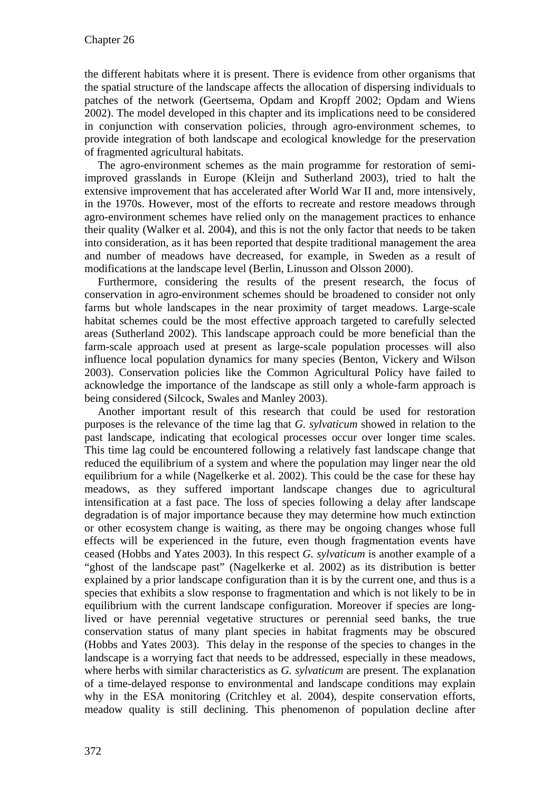the different habitats where it is present. There is evidence from other organisms that the spatial structure of the landscape affects the allocation of dispersing individuals to patches of the network (Geertsema, Opdam and Kropff 2002; Opdam and Wiens 2002). The model developed in this chapter and its implications need to be considered in conjunction with conservation policies, through agro-environment schemes, to provide integration of both landscape and ecological knowledge for the preservation of fragmented agricultural habitats.

The agro-environment schemes as the main programme for restoration of semiimproved grasslands in Europe (Kleijn and Sutherland 2003), tried to halt the extensive improvement that has accelerated after World War II and, more intensively, in the 1970s. However, most of the efforts to recreate and restore meadows through agro-environment schemes have relied only on the management practices to enhance their quality (Walker et al. 2004), and this is not the only factor that needs to be taken into consideration, as it has been reported that despite traditional management the area and number of meadows have decreased, for example, in Sweden as a result of modifications at the landscape level (Berlin, Linusson and Olsson 2000).

Furthermore, considering the results of the present research, the focus of conservation in agro-environment schemes should be broadened to consider not only farms but whole landscapes in the near proximity of target meadows. Large-scale habitat schemes could be the most effective approach targeted to carefully selected areas (Sutherland 2002). This landscape approach could be more beneficial than the farm-scale approach used at present as large-scale population processes will also influence local population dynamics for many species (Benton, Vickery and Wilson 2003). Conservation policies like the Common Agricultural Policy have failed to acknowledge the importance of the landscape as still only a whole-farm approach is being considered (Silcock, Swales and Manley 2003).

Another important result of this research that could be used for restoration purposes is the relevance of the time lag that *G. sylvaticum* showed in relation to the past landscape, indicating that ecological processes occur over longer time scales. This time lag could be encountered following a relatively fast landscape change that reduced the equilibrium of a system and where the population may linger near the old equilibrium for a while (Nagelkerke et al. 2002). This could be the case for these hay meadows, as they suffered important landscape changes due to agricultural intensification at a fast pace. The loss of species following a delay after landscape degradation is of major importance because they may determine how much extinction or other ecosystem change is waiting, as there may be ongoing changes whose full effects will be experienced in the future, even though fragmentation events have ceased (Hobbs and Yates 2003). In this respect *G. sylvaticum* is another example of a "ghost of the landscape past" (Nagelkerke et al. 2002) as its distribution is better explained by a prior landscape configuration than it is by the current one, and thus is a species that exhibits a slow response to fragmentation and which is not likely to be in equilibrium with the current landscape configuration. Moreover if species are longlived or have perennial vegetative structures or perennial seed banks, the true conservation status of many plant species in habitat fragments may be obscured (Hobbs and Yates 2003). This delay in the response of the species to changes in the landscape is a worrying fact that needs to be addressed, especially in these meadows, where herbs with similar characteristics as *G. sylvaticum* are present. The explanation of a time-delayed response to environmental and landscape conditions may explain why in the ESA monitoring (Critchley et al. 2004), despite conservation efforts, meadow quality is still declining. This phenomenon of population decline after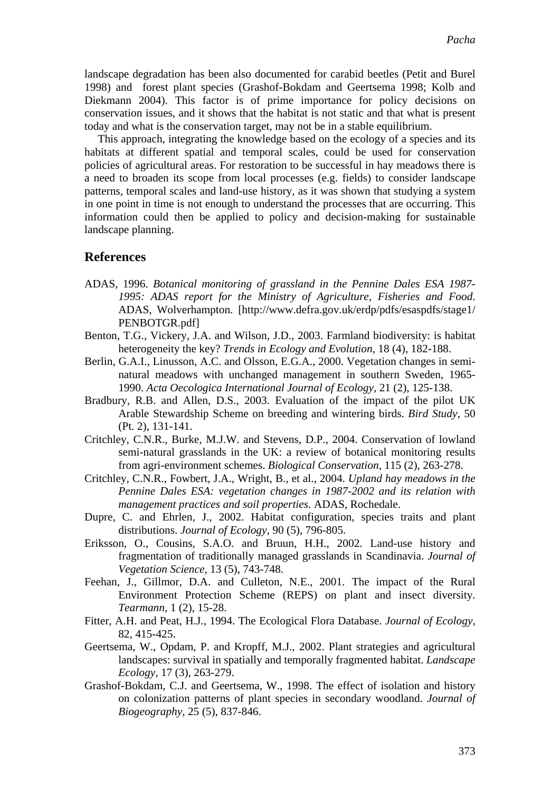landscape degradation has been also documented for carabid beetles (Petit and Burel 1998) and forest plant species (Grashof-Bokdam and Geertsema 1998; Kolb and Diekmann 2004). This factor is of prime importance for policy decisions on conservation issues, and it shows that the habitat is not static and that what is present today and what is the conservation target, may not be in a stable equilibrium.

This approach, integrating the knowledge based on the ecology of a species and its habitats at different spatial and temporal scales, could be used for conservation policies of agricultural areas. For restoration to be successful in hay meadows there is a need to broaden its scope from local processes (e.g. fields) to consider landscape patterns, temporal scales and land-use history, as it was shown that studying a system in one point in time is not enough to understand the processes that are occurring. This information could then be applied to policy and decision-making for sustainable landscape planning.

### **References**

- ADAS, 1996. *Botanical monitoring of grassland in the Pennine Dales ESA 1987- 1995: ADAS report for the Ministry of Agriculture, Fisheries and Food*. ADAS, Wolverhampton. [http://www.defra.gov.uk/erdp/pdfs/esaspdfs/stage1/ PENBOTGR.pdf]
- Benton, T.G., Vickery, J.A. and Wilson, J.D., 2003. Farmland biodiversity: is habitat heterogeneity the key? *Trends in Ecology and Evolution,* 18 (4), 182-188.
- Berlin, G.A.I., Linusson, A.C. and Olsson, E.G.A., 2000. Vegetation changes in seminatural meadows with unchanged management in southern Sweden, 1965- 1990. *Acta Oecologica International Journal of Ecology,* 21 (2), 125-138.
- Bradbury, R.B. and Allen, D.S., 2003. Evaluation of the impact of the pilot UK Arable Stewardship Scheme on breeding and wintering birds. *Bird Study,* 50 (Pt. 2), 131-141.
- Critchley, C.N.R., Burke, M.J.W. and Stevens, D.P., 2004. Conservation of lowland semi-natural grasslands in the UK: a review of botanical monitoring results from agri-environment schemes. *Biological Conservation,* 115 (2), 263-278.
- Critchley, C.N.R., Fowbert, J.A., Wright, B., et al., 2004. *Upland hay meadows in the Pennine Dales ESA: vegetation changes in 1987-2002 and its relation with management practices and soil properties*. ADAS, Rochedale.
- Dupre, C. and Ehrlen, J., 2002. Habitat configuration, species traits and plant distributions. *Journal of Ecology,* 90 (5), 796-805.
- Eriksson, O., Cousins, S.A.O. and Bruun, H.H., 2002. Land-use history and fragmentation of traditionally managed grasslands in Scandinavia. *Journal of Vegetation Science,* 13 (5), 743-748.
- Feehan, J., Gillmor, D.A. and Culleton, N.E., 2001. The impact of the Rural Environment Protection Scheme (REPS) on plant and insect diversity. *Tearmann,* 1 (2), 15-28.
- Fitter, A.H. and Peat, H.J., 1994. The Ecological Flora Database. *Journal of Ecology,* 82, 415-425.
- Geertsema, W., Opdam, P. and Kropff, M.J., 2002. Plant strategies and agricultural landscapes: survival in spatially and temporally fragmented habitat. *Landscape Ecology,* 17 (3), 263-279.
- Grashof-Bokdam, C.J. and Geertsema, W., 1998. The effect of isolation and history on colonization patterns of plant species in secondary woodland. *Journal of Biogeography,* 25 (5), 837-846.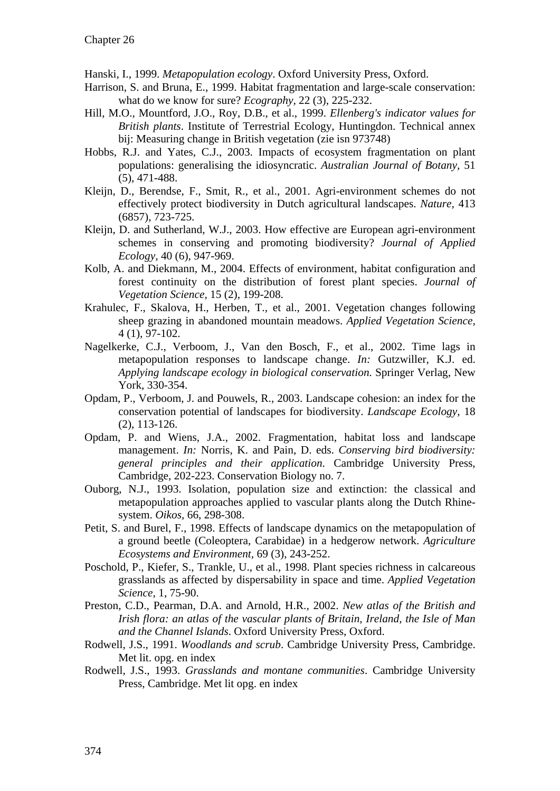Hanski, I., 1999. *Metapopulation ecology*. Oxford University Press, Oxford.

- Harrison, S. and Bruna, E., 1999. Habitat fragmentation and large-scale conservation: what do we know for sure? *Ecography,* 22 (3), 225-232.
- Hill, M.O., Mountford, J.O., Roy, D.B., et al., 1999. *Ellenberg's indicator values for British plants*. Institute of Terrestrial Ecology, Huntingdon. Technical annex bij: Measuring change in British vegetation (zie isn 973748)
- Hobbs, R.J. and Yates, C.J., 2003. Impacts of ecosystem fragmentation on plant populations: generalising the idiosyncratic. *Australian Journal of Botany,* 51 (5), 471-488.
- Kleijn, D., Berendse, F., Smit, R., et al., 2001. Agri-environment schemes do not effectively protect biodiversity in Dutch agricultural landscapes. *Nature,* 413 (6857), 723-725.
- Kleijn, D. and Sutherland, W.J., 2003. How effective are European agri-environment schemes in conserving and promoting biodiversity? *Journal of Applied Ecology,* 40 (6), 947-969.
- Kolb, A. and Diekmann, M., 2004. Effects of environment, habitat configuration and forest continuity on the distribution of forest plant species. *Journal of Vegetation Science,* 15 (2), 199-208.
- Krahulec, F., Skalova, H., Herben, T., et al., 2001. Vegetation changes following sheep grazing in abandoned mountain meadows. *Applied Vegetation Science,* 4 (1), 97-102.
- Nagelkerke, C.J., Verboom, J., Van den Bosch, F., et al., 2002. Time lags in metapopulation responses to landscape change. *In:* Gutzwiller, K.J. ed. *Applying landscape ecology in biological conservation*. Springer Verlag, New York, 330-354.
- Opdam, P., Verboom, J. and Pouwels, R., 2003. Landscape cohesion: an index for the conservation potential of landscapes for biodiversity. *Landscape Ecology,* 18 (2), 113-126.
- Opdam, P. and Wiens, J.A., 2002. Fragmentation, habitat loss and landscape management. *In:* Norris, K. and Pain, D. eds. *Conserving bird biodiversity: general principles and their application*. Cambridge University Press, Cambridge, 202-223. Conservation Biology no. 7.
- Ouborg, N.J., 1993. Isolation, population size and extinction: the classical and metapopulation approaches applied to vascular plants along the Dutch Rhinesystem. *Oikos,* 66, 298-308.
- Petit, S. and Burel, F., 1998. Effects of landscape dynamics on the metapopulation of a ground beetle (Coleoptera, Carabidae) in a hedgerow network. *Agriculture Ecosystems and Environment,* 69 (3), 243-252.
- Poschold, P., Kiefer, S., Trankle, U., et al., 1998. Plant species richness in calcareous grasslands as affected by dispersability in space and time. *Applied Vegetation Science,* 1, 75-90.
- Preston, C.D., Pearman, D.A. and Arnold, H.R., 2002. *New atlas of the British and Irish flora: an atlas of the vascular plants of Britain, Ireland, the Isle of Man and the Channel Islands*. Oxford University Press, Oxford.
- Rodwell, J.S., 1991. *Woodlands and scrub*. Cambridge University Press, Cambridge. Met lit. opg. en index
- Rodwell, J.S., 1993. *Grasslands and montane communities*. Cambridge University Press, Cambridge. Met lit opg. en index